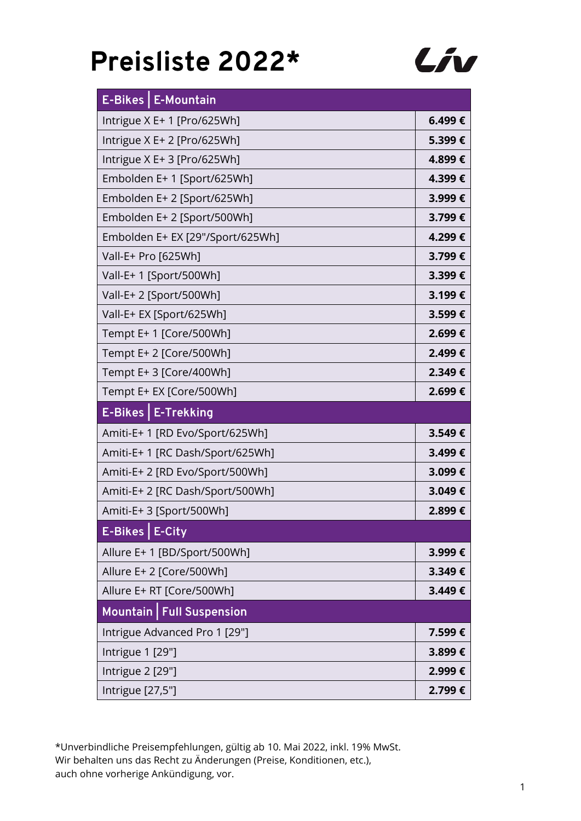

| <b>E-Bikes   E-Mountain</b>      |        |
|----------------------------------|--------|
| Intrigue X E+ 1 [Pro/625Wh]      | 6.499€ |
| Intrigue X E+ 2 [Pro/625Wh]      | 5.399€ |
| Intrigue X E+ 3 [Pro/625Wh]      | 4.899€ |
| Embolden E+ 1 [Sport/625Wh]      | 4.399€ |
| Embolden E+ 2 [Sport/625Wh]      | 3.999€ |
| Embolden E+ 2 [Sport/500Wh]      | 3.799€ |
| Embolden E+ EX [29"/Sport/625Wh] | 4.299€ |
| Vall-E+ Pro [625Wh]              | 3.799€ |
| Vall-E+ 1 [Sport/500Wh]          | 3.399€ |
| Vall-E+ 2 [Sport/500Wh]          | 3.199€ |
| Vall-E+ EX [Sport/625Wh]         | 3.599€ |
| Tempt E+ 1 [Core/500Wh]          | 2.699€ |
| Tempt E+ 2 [Core/500Wh]          | 2.499€ |
| Tempt E+3 [Core/400Wh]           | 2.349€ |
| Tempt E+ EX [Core/500Wh]         | 2.699€ |
| E-Bikes   E-Trekking             |        |
| Amiti-E+ 1 [RD Evo/Sport/625Wh]  | 3.549€ |
| Amiti-E+ 1 [RC Dash/Sport/625Wh] | 3.499€ |
| Amiti-E+ 2 [RD Evo/Sport/500Wh]  | 3.099€ |
| Amiti-E+ 2 [RC Dash/Sport/500Wh] | 3.049€ |
| Amiti-E+ 3 [Sport/500Wh]         | 2.899€ |
| E-Bikes   E-City                 |        |
| Allure E+ 1 [BD/Sport/500Wh]     | 3.999€ |
| Allure E+ 2 [Core/500Wh]         | 3.349€ |
| Allure E+ RT [Core/500Wh]        | 3.449€ |
| Mountain   Full Suspension       |        |
| Intrigue Advanced Pro 1 [29"]    | 7.599€ |
| Intrigue 1 [29"]                 | 3.899€ |
| Intrigue 2 [29"]                 | 2.999€ |
| Intrigue [27,5"]                 | 2.799€ |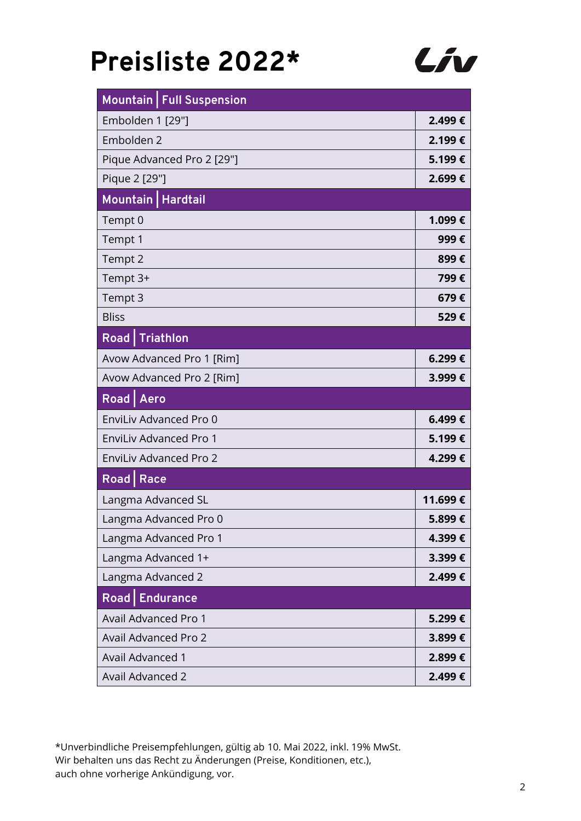

| Mountain   Full Suspension    |         |
|-------------------------------|---------|
| Embolden 1 [29"]              | 2.499€  |
| Embolden 2                    | 2.199€  |
| Pique Advanced Pro 2 [29"]    | 5.199€  |
| Pique 2 [29"]                 | 2.699€  |
| Mountain   Hardtail           |         |
| Tempt 0                       | 1.099€  |
| Tempt 1                       | 999€    |
| Tempt 2                       | 899€    |
| Tempt 3+                      | 799€    |
| Tempt 3                       | 679€    |
| <b>Bliss</b>                  | 529€    |
| <b>Road</b> Triathlon         |         |
| Avow Advanced Pro 1 [Rim]     | 6.299€  |
| Avow Advanced Pro 2 [Rim]     | 3.999€  |
| Road   Aero                   |         |
| EnviLiv Advanced Pro 0        | 6.499€  |
| <b>EnviLiv Advanced Pro 1</b> | 5.199€  |
| <b>EnviLiv Advanced Pro 2</b> | 4.299€  |
| Road   Race                   |         |
| Langma Advanced SL            | 11.699€ |
| Langma Advanced Pro 0         | 5.899€  |
| Langma Advanced Pro 1         | 4.399€  |
| Langma Advanced 1+            | 3.399€  |
| Langma Advanced 2             | 2.499€  |
| Road   Endurance              |         |
| <b>Avail Advanced Pro 1</b>   | 5.299€  |
| Avail Advanced Pro 2          | 3.899€  |
| <b>Avail Advanced 1</b>       | 2.899€  |
| <b>Avail Advanced 2</b>       | 2.499€  |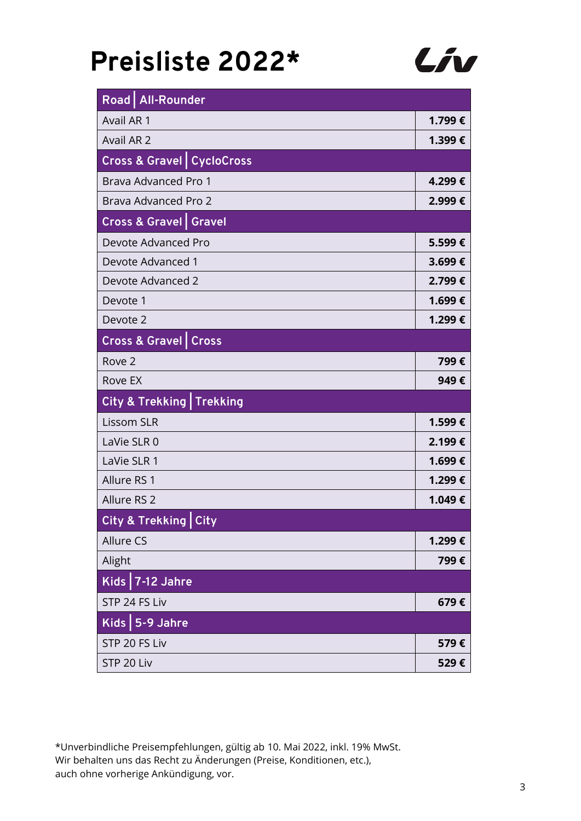

|                   | Road   All-Rounder                     |        |
|-------------------|----------------------------------------|--------|
| Avail AR 1        |                                        | 1.799€ |
| Avail AR 2        |                                        | 1.399€ |
|                   | <b>Cross &amp; Gravel   CycloCross</b> |        |
|                   | Brava Advanced Pro 1                   | 4.299€ |
|                   | Brava Advanced Pro 2                   | 2.999€ |
|                   | <b>Cross &amp; Gravel   Gravel</b>     |        |
|                   | Devote Advanced Pro                    | 5.599€ |
|                   | Devote Advanced 1                      | 3.699€ |
|                   | Devote Advanced 2                      | 2.799€ |
| Devote 1          |                                        | 1.699€ |
| Devote 2          |                                        | 1.299€ |
|                   | <b>Cross &amp; Gravel   Cross</b>      |        |
| Rove 2            |                                        | 799€   |
| Rove EX           |                                        | 949€   |
|                   | <b>City &amp; Trekking Trekking</b>    |        |
| <b>Lissom SLR</b> |                                        | 1.599€ |
| LaVie SLR 0       |                                        | 2.199€ |
| LaVie SLR 1       |                                        | 1.699€ |
| Allure RS 1       |                                        | 1.299€ |
| Allure RS 2       |                                        | 1.049€ |
|                   | City & Trekking City                   |        |
| Allure CS         |                                        | 1.299€ |
| Alight            |                                        | 799€   |
|                   | Kids $7-12$ Jahre                      |        |
|                   | STP 24 FS Liv                          | 679€   |
|                   | Kids   5-9 Jahre                       |        |
|                   | STP 20 FS Liv                          | 579€   |
| STP 20 Liv        |                                        | 529€   |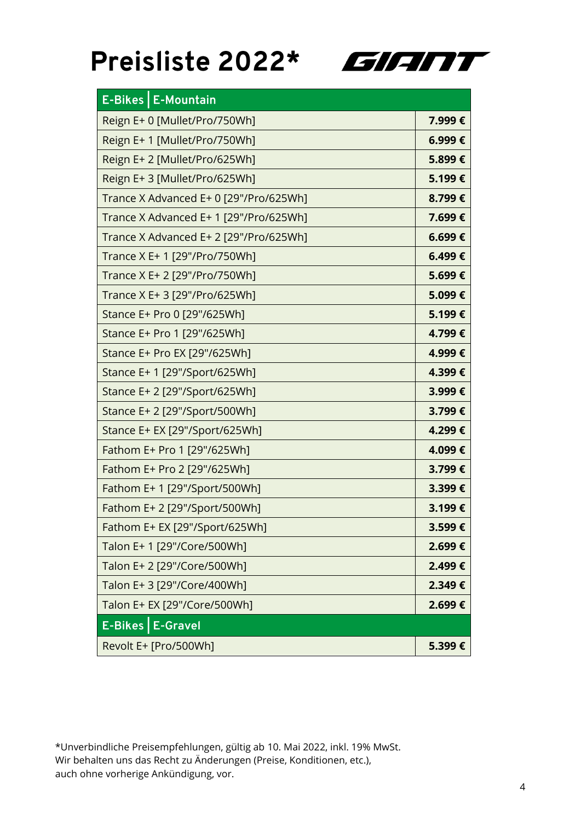

| E-Bikes   E-Mountain                   |        |
|----------------------------------------|--------|
| Reign E+ 0 [Mullet/Pro/750Wh]          | 7.999€ |
| Reign E+1 [Mullet/Pro/750Wh]           | 6.999€ |
| Reign E+2 [Mullet/Pro/625Wh]           | 5.899€ |
| Reign E+3 [Mullet/Pro/625Wh]           | 5.199€ |
| Trance X Advanced E+ 0 [29"/Pro/625Wh] | 8.799€ |
| Trance X Advanced E+ 1 [29"/Pro/625Wh] | 7.699€ |
| Trance X Advanced E+ 2 [29"/Pro/625Wh] | 6.699€ |
| Trance X E+ 1 [29"/Pro/750Wh]          | 6.499€ |
| Trance X E+ 2 [29"/Pro/750Wh]          | 5.699€ |
| Trance X E+ 3 [29"/Pro/625Wh]          | 5.099€ |
| Stance E+ Pro 0 [29"/625Wh]            | 5.199€ |
| Stance E+ Pro 1 [29"/625Wh]            | 4.799€ |
| Stance E+ Pro EX [29"/625Wh]           | 4.999€ |
| Stance E+ 1 [29"/Sport/625Wh]          | 4.399€ |
| Stance E+ 2 [29"/Sport/625Wh]          | 3.999€ |
| Stance E+ 2 [29"/Sport/500Wh]          | 3.799€ |
| Stance E+ EX [29"/Sport/625Wh]         | 4.299€ |
| Fathom E+ Pro 1 [29"/625Wh]            | 4.099€ |
| Fathom E+ Pro 2 [29"/625Wh]            | 3.799€ |
| Fathom E+ 1 [29"/Sport/500Wh]          | 3.399€ |
| Fathom E+ 2 [29"/Sport/500Wh]          | 3.199€ |
| Fathom E+ EX [29"/Sport/625Wh]         | 3.599€ |
| Talon E+ 1 [29"/Core/500Wh]            | 2.699€ |
| Talon E+ 2 [29"/Core/500Wh]            | 2.499€ |
| Talon E+ 3 [29"/Core/400Wh]            | 2.349€ |
| Talon E+ EX [29"/Core/500Wh]           | 2.699€ |
| E-Bikes   E-Gravel                     |        |
| Revolt E+ [Pro/500Wh]                  | 5.399€ |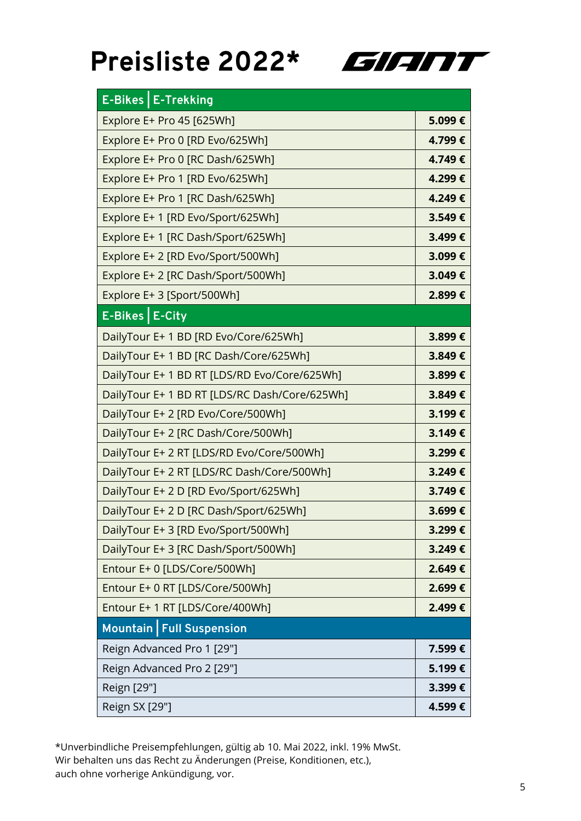

| E-Bikes   E-Trekking                          |        |
|-----------------------------------------------|--------|
| Explore E+ Pro 45 [625Wh]                     | 5.099€ |
| Explore E+ Pro 0 [RD Evo/625Wh]               | 4.799€ |
| Explore E+ Pro 0 [RC Dash/625Wh]              | 4.749€ |
| Explore E+ Pro 1 [RD Evo/625Wh]               | 4.299€ |
| Explore E+ Pro 1 [RC Dash/625Wh]              | 4.249€ |
| Explore E+ 1 [RD Evo/Sport/625Wh]             | 3.549€ |
| Explore E+ 1 [RC Dash/Sport/625Wh]            | 3.499€ |
| Explore E+ 2 [RD Evo/Sport/500Wh]             | 3.099€ |
| Explore E+ 2 [RC Dash/Sport/500Wh]            | 3.049€ |
| Explore E+3 [Sport/500Wh]                     | 2.899€ |
| E-Bikes   E-City                              |        |
| DailyTour E+ 1 BD [RD Evo/Core/625Wh]         | 3.899€ |
| DailyTour E+ 1 BD [RC Dash/Core/625Wh]        | 3.849€ |
| DailyTour E+ 1 BD RT [LDS/RD Evo/Core/625Wh]  | 3.899€ |
| DailyTour E+ 1 BD RT [LDS/RC Dash/Core/625Wh] | 3.849€ |
| DailyTour E+ 2 [RD Evo/Core/500Wh]            | 3.199€ |
| DailyTour E+ 2 [RC Dash/Core/500Wh]           | 3.149€ |
| DailyTour E+ 2 RT [LDS/RD Evo/Core/500Wh]     | 3.299€ |
| DailyTour E+ 2 RT [LDS/RC Dash/Core/500Wh]    | 3.249€ |
| DailyTour E+ 2 D [RD Evo/Sport/625Wh]         | 3.749€ |
| DailyTour E+ 2 D [RC Dash/Sport/625Wh]        | 3.699€ |
| DailyTour E+ 3 [RD Evo/Sport/500Wh]           | 3.299€ |
| DailyTour E+3 [RC Dash/Sport/500Wh]           | 3.249€ |
| Entour E+ 0 [LDS/Core/500Wh]                  | 2.649€ |
| Entour E+ 0 RT [LDS/Core/500Wh]               | 2.699€ |
| Entour E+ 1 RT [LDS/Core/400Wh]               | 2.499€ |
| Mountain   Full Suspension                    |        |
| Reign Advanced Pro 1 [29"]                    | 7.599€ |
| Reign Advanced Pro 2 [29"]                    | 5.199€ |
| Reign [29"]                                   | 3.399€ |
| Reign SX [29"]                                | 4.599€ |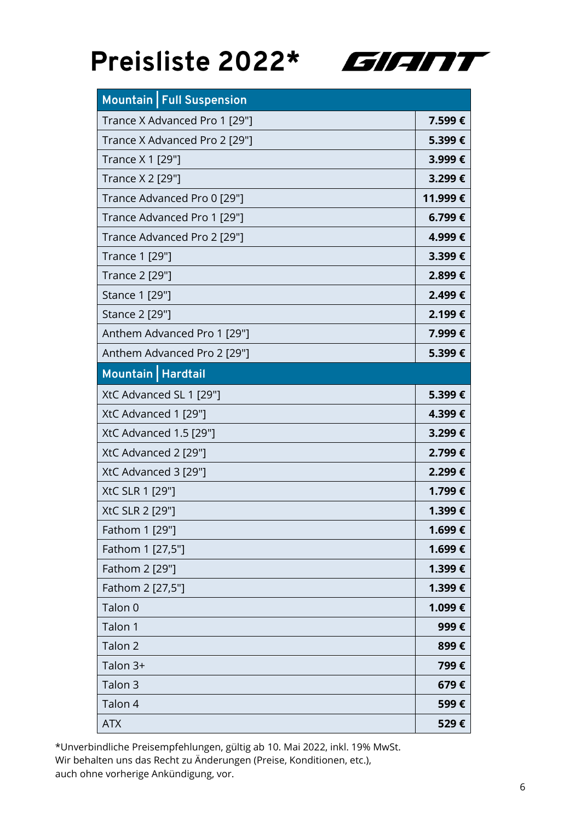

| Mountain   Full Suspension    |         |
|-------------------------------|---------|
| Trance X Advanced Pro 1 [29"] | 7.599€  |
| Trance X Advanced Pro 2 [29"] | 5.399€  |
| Trance X 1 [29"]              | 3.999€  |
| Trance X 2 [29"]              | 3.299€  |
| Trance Advanced Pro 0 [29"]   | 11.999€ |
| Trance Advanced Pro 1 [29"]   | 6.799€  |
| Trance Advanced Pro 2 [29"]   | 4.999€  |
| Trance 1 [29"]                | 3.399€  |
| Trance 2 [29"]                | 2.899€  |
| Stance 1 [29"]                | 2.499€  |
| Stance 2 [29"]                | 2.199€  |
| Anthem Advanced Pro 1 [29"]   | 7.999€  |
| Anthem Advanced Pro 2 [29"]   | 5.399€  |
| Mountain   Hardtail           |         |
| XtC Advanced SL 1 [29"]       | 5.399€  |
| XtC Advanced 1 [29"]          | 4.399€  |
| XtC Advanced 1.5 [29"]        | 3.299€  |
| XtC Advanced 2 [29"]          | 2.799€  |
| XtC Advanced 3 [29"]          | 2.299€  |
| XtC SLR 1 [29"]               | 1.799€  |
| XtC SLR 2 [29"]               | 1.399€  |
| Fathom 1 [29"]                | 1.699€  |
| Fathom 1 [27,5"]              | 1.699€  |
| Fathom 2 [29"]                | 1.399€  |
| Fathom 2 [27,5"]              | 1.399€  |
| Talon 0                       | 1.099€  |
| Talon 1                       | 999€    |
| Talon 2                       | 899€    |
| Talon 3+                      | 799€    |
| Talon 3                       | 679€    |
| Talon 4                       | 599€    |
| <b>ATX</b>                    | 529€    |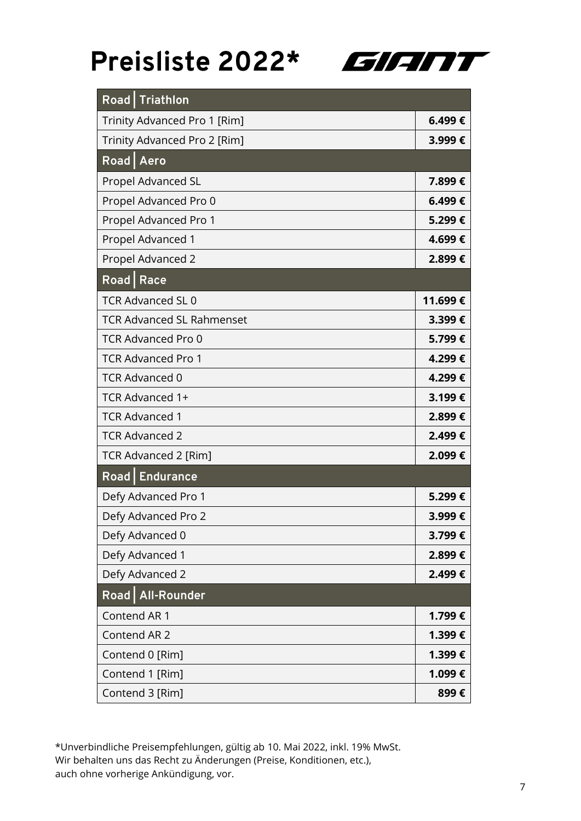

|             | Road   Triathlon                 |         |
|-------------|----------------------------------|---------|
|             | Trinity Advanced Pro 1 [Rim]     | 6.499€  |
|             | Trinity Advanced Pro 2 [Rim]     | 3.999€  |
| Road Aero   |                                  |         |
|             | Propel Advanced SL               | 7.899€  |
|             | Propel Advanced Pro 0            | 6.499€  |
|             | Propel Advanced Pro 1            | 5.299€  |
|             | Propel Advanced 1                | 4.699€  |
|             | Propel Advanced 2                | 2.899€  |
| Road   Race |                                  |         |
|             | <b>TCR Advanced SL 0</b>         | 11.699€ |
|             | <b>TCR Advanced SL Rahmenset</b> | 3.399€  |
|             | <b>TCR Advanced Pro 0</b>        | 5.799€  |
|             | <b>TCR Advanced Pro 1</b>        | 4.299€  |
|             | <b>TCR Advanced 0</b>            | 4.299€  |
|             | TCR Advanced 1+                  | 3.199€  |
|             | <b>TCR Advanced 1</b>            | 2.899€  |
|             | <b>TCR Advanced 2</b>            | 2.499€  |
|             | TCR Advanced 2 [Rim]             | 2.099€  |
|             | Road   Endurance                 |         |
|             | Defy Advanced Pro 1              | 5.299€  |
|             | Defy Advanced Pro 2              | 3.999€  |
|             | Defy Advanced 0                  | 3.799€  |
|             | Defy Advanced 1                  | 2.899€  |
|             | Defy Advanced 2                  | 2.499€  |
|             | Road   All-Rounder               |         |
|             | Contend AR 1                     | 1.799€  |
|             | Contend AR 2                     | 1.399€  |
|             | Contend 0 [Rim]                  | 1.399€  |
|             | Contend 1 [Rim]                  | 1.099€  |
|             | Contend 3 [Rim]                  | 899€    |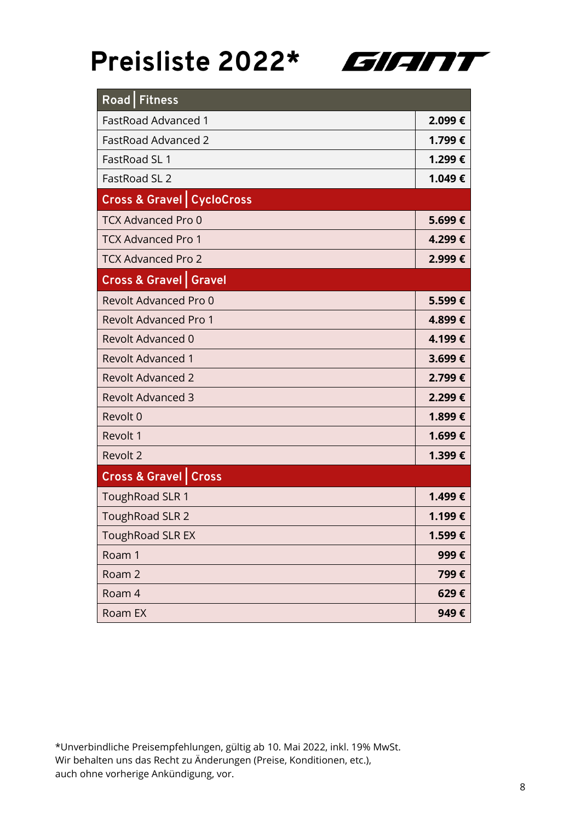

| Road   Fitness                       |        |
|--------------------------------------|--------|
| <b>FastRoad Advanced 1</b>           | 2.099€ |
| <b>FastRoad Advanced 2</b>           | 1.799€ |
| FastRoad SL 1                        | 1.299€ |
| FastRoad SL 2                        | 1.049€ |
| <b>Cross &amp; Gravel CycloCross</b> |        |
| <b>TCX Advanced Pro 0</b>            | 5.699€ |
| <b>TCX Advanced Pro 1</b>            | 4.299€ |
| <b>TCX Advanced Pro 2</b>            | 2.999€ |
| <b>Cross &amp; Gravel   Gravel</b>   |        |
| Revolt Advanced Pro 0                | 5.599€ |
| <b>Revolt Advanced Pro 1</b>         | 4.899€ |
| <b>Revolt Advanced 0</b>             | 4.199€ |
| <b>Revolt Advanced 1</b>             | 3.699€ |
| <b>Revolt Advanced 2</b>             | 2.799€ |
| <b>Revolt Advanced 3</b>             | 2.299€ |
| Revolt 0                             | 1.899€ |
| Revolt 1                             | 1.699€ |
| Revolt 2                             | 1.399€ |
| <b>Cross &amp; Gravel   Cross</b>    |        |
| ToughRoad SLR 1                      | 1.499€ |
| <b>ToughRoad SLR 2</b>               | 1.199€ |
| <b>ToughRoad SLR EX</b>              | 1.599€ |
| Roam 1                               | 999€   |
| Roam 2                               | 799€   |
| Roam 4                               | 629€   |
| Roam EX                              | 949€   |